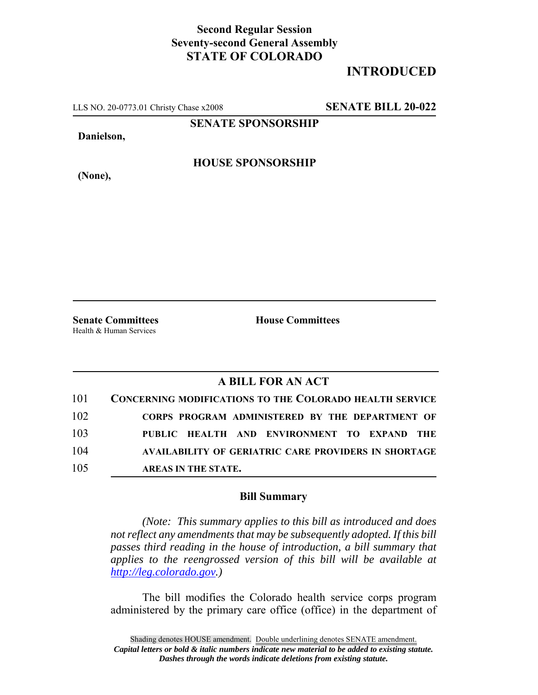## **Second Regular Session Seventy-second General Assembly STATE OF COLORADO**

## **INTRODUCED**

LLS NO. 20-0773.01 Christy Chase x2008 **SENATE BILL 20-022**

**SENATE SPONSORSHIP**

**Danielson,**

**HOUSE SPONSORSHIP**

**(None),**

**Senate Committees House Committees** Health & Human Services

## **A BILL FOR AN ACT**

| 101 | <b>CONCERNING MODIFICATIONS TO THE COLORADO HEALTH SERVICE</b> |
|-----|----------------------------------------------------------------|
| 102 | CORPS PROGRAM ADMINISTERED BY THE DEPARTMENT OF                |
| 103 | PUBLIC HEALTH AND ENVIRONMENT TO EXPAND THE                    |
| 104 | <b>AVAILABILITY OF GERIATRIC CARE PROVIDERS IN SHORTAGE</b>    |
| 105 | AREAS IN THE STATE.                                            |

## **Bill Summary**

*(Note: This summary applies to this bill as introduced and does not reflect any amendments that may be subsequently adopted. If this bill passes third reading in the house of introduction, a bill summary that applies to the reengrossed version of this bill will be available at http://leg.colorado.gov.)*

The bill modifies the Colorado health service corps program administered by the primary care office (office) in the department of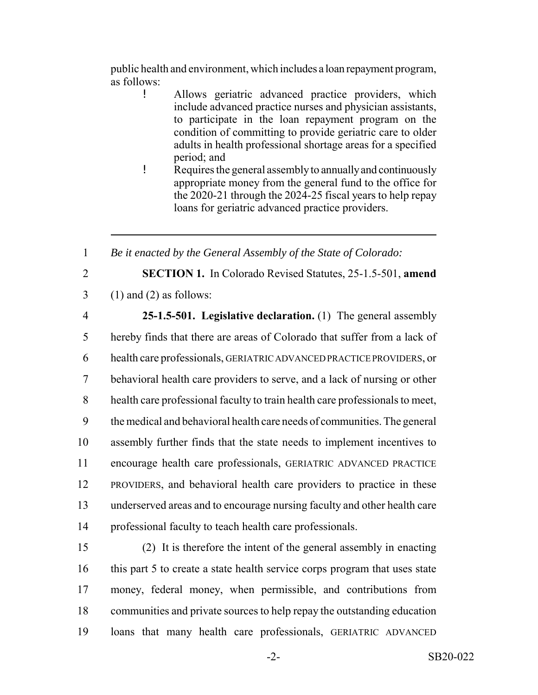public health and environment, which includes a loan repayment program, as follows:

- ! Allows geriatric advanced practice providers, which include advanced practice nurses and physician assistants, to participate in the loan repayment program on the condition of committing to provide geriatric care to older adults in health professional shortage areas for a specified period; and
- ! Requires the general assembly to annually and continuously appropriate money from the general fund to the office for the 2020-21 through the 2024-25 fiscal years to help repay loans for geriatric advanced practice providers.

1 *Be it enacted by the General Assembly of the State of Colorado:*

- 
- 2 **SECTION 1.** In Colorado Revised Statutes, 25-1.5-501, **amend**  $3 \quad (1)$  and  $(2)$  as follows:
- 

 **25-1.5-501. Legislative declaration.** (1) The general assembly hereby finds that there are areas of Colorado that suffer from a lack of health care professionals, GERIATRIC ADVANCED PRACTICE PROVIDERS, or behavioral health care providers to serve, and a lack of nursing or other health care professional faculty to train health care professionals to meet, the medical and behavioral health care needs of communities. The general assembly further finds that the state needs to implement incentives to encourage health care professionals, GERIATRIC ADVANCED PRACTICE PROVIDERS, and behavioral health care providers to practice in these underserved areas and to encourage nursing faculty and other health care professional faculty to teach health care professionals.

 (2) It is therefore the intent of the general assembly in enacting this part 5 to create a state health service corps program that uses state money, federal money, when permissible, and contributions from communities and private sources to help repay the outstanding education loans that many health care professionals, GERIATRIC ADVANCED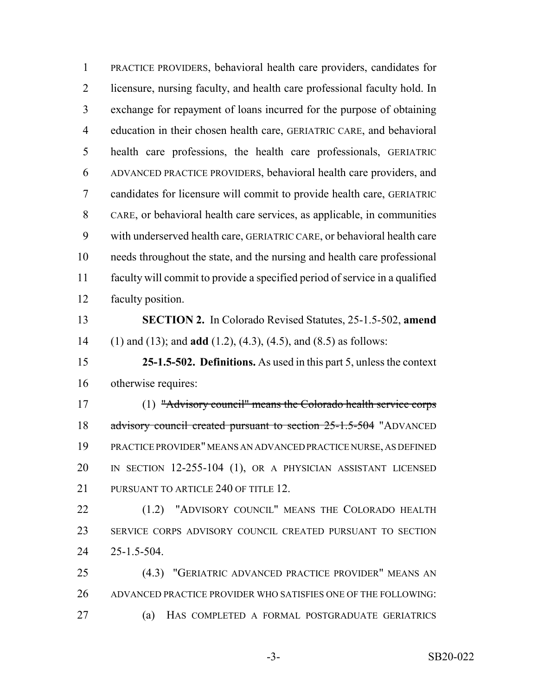PRACTICE PROVIDERS, behavioral health care providers, candidates for licensure, nursing faculty, and health care professional faculty hold. In exchange for repayment of loans incurred for the purpose of obtaining education in their chosen health care, GERIATRIC CARE, and behavioral health care professions, the health care professionals, GERIATRIC ADVANCED PRACTICE PROVIDERS, behavioral health care providers, and candidates for licensure will commit to provide health care, GERIATRIC CARE, or behavioral health care services, as applicable, in communities with underserved health care, GERIATRIC CARE, or behavioral health care needs throughout the state, and the nursing and health care professional faculty will commit to provide a specified period of service in a qualified faculty position. **SECTION 2.** In Colorado Revised Statutes, 25-1.5-502, **amend** (1) and (13); and **add** (1.2), (4.3), (4.5), and (8.5) as follows: **25-1.5-502. Definitions.** As used in this part 5, unless the context otherwise requires: (1) "Advisory council" means the Colorado health service corps 18 advisory council created pursuant to section 25-1.5-504 "ADVANCED PRACTICE PROVIDER" MEANS AN ADVANCED PRACTICE NURSE, AS DEFINED IN SECTION 12-255-104 (1), OR A PHYSICIAN ASSISTANT LICENSED 21 PURSUANT TO ARTICLE 240 OF TITLE 12. (1.2) "ADVISORY COUNCIL" MEANS THE COLORADO HEALTH SERVICE CORPS ADVISORY COUNCIL CREATED PURSUANT TO SECTION 25-1.5-504. (4.3) "GERIATRIC ADVANCED PRACTICE PROVIDER" MEANS AN ADVANCED PRACTICE PROVIDER WHO SATISFIES ONE OF THE FOLLOWING: (a) HAS COMPLETED A FORMAL POSTGRADUATE GERIATRICS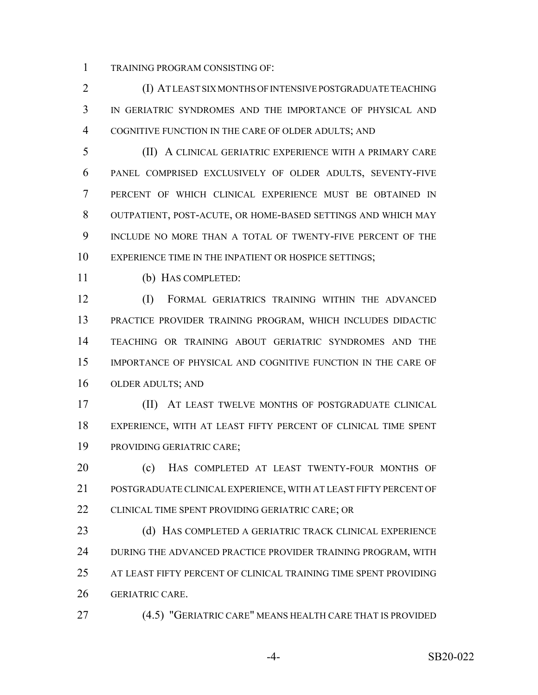TRAINING PROGRAM CONSISTING OF:

 (I) AT LEAST SIX MONTHS OF INTENSIVE POSTGRADUATE TEACHING IN GERIATRIC SYNDROMES AND THE IMPORTANCE OF PHYSICAL AND COGNITIVE FUNCTION IN THE CARE OF OLDER ADULTS; AND

 (II) A CLINICAL GERIATRIC EXPERIENCE WITH A PRIMARY CARE PANEL COMPRISED EXCLUSIVELY OF OLDER ADULTS, SEVENTY-FIVE PERCENT OF WHICH CLINICAL EXPERIENCE MUST BE OBTAINED IN OUTPATIENT, POST-ACUTE, OR HOME-BASED SETTINGS AND WHICH MAY INCLUDE NO MORE THAN A TOTAL OF TWENTY-FIVE PERCENT OF THE 10 EXPERIENCE TIME IN THE INPATIENT OR HOSPICE SETTINGS;

(b) HAS COMPLETED:

 (I) FORMAL GERIATRICS TRAINING WITHIN THE ADVANCED PRACTICE PROVIDER TRAINING PROGRAM, WHICH INCLUDES DIDACTIC TEACHING OR TRAINING ABOUT GERIATRIC SYNDROMES AND THE IMPORTANCE OF PHYSICAL AND COGNITIVE FUNCTION IN THE CARE OF OLDER ADULTS; AND

 (II) AT LEAST TWELVE MONTHS OF POSTGRADUATE CLINICAL EXPERIENCE, WITH AT LEAST FIFTY PERCENT OF CLINICAL TIME SPENT PROVIDING GERIATRIC CARE;

20 (c) HAS COMPLETED AT LEAST TWENTY-FOUR MONTHS OF POSTGRADUATE CLINICAL EXPERIENCE, WITH AT LEAST FIFTY PERCENT OF CLINICAL TIME SPENT PROVIDING GERIATRIC CARE; OR

23 (d) HAS COMPLETED A GERIATRIC TRACK CLINICAL EXPERIENCE DURING THE ADVANCED PRACTICE PROVIDER TRAINING PROGRAM, WITH AT LEAST FIFTY PERCENT OF CLINICAL TRAINING TIME SPENT PROVIDING GERIATRIC CARE.

(4.5) "GERIATRIC CARE" MEANS HEALTH CARE THAT IS PROVIDED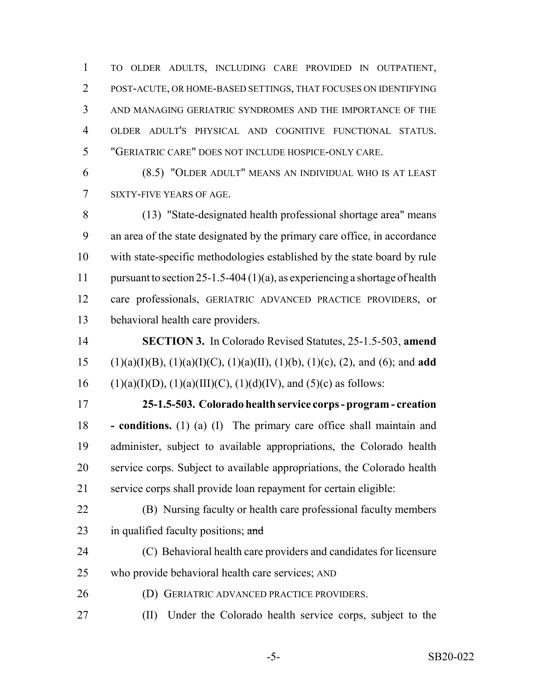TO OLDER ADULTS, INCLUDING CARE PROVIDED IN OUTPATIENT, POST-ACUTE, OR HOME-BASED SETTINGS, THAT FOCUSES ON IDENTIFYING AND MANAGING GERIATRIC SYNDROMES AND THE IMPORTANCE OF THE OLDER ADULT'S PHYSICAL AND COGNITIVE FUNCTIONAL STATUS. "GERIATRIC CARE" DOES NOT INCLUDE HOSPICE-ONLY CARE.

 (8.5) "OLDER ADULT" MEANS AN INDIVIDUAL WHO IS AT LEAST SIXTY-FIVE YEARS OF AGE.

 (13) "State-designated health professional shortage area" means an area of the state designated by the primary care office, in accordance with state-specific methodologies established by the state board by rule pursuant to section 25-1.5-404 (1)(a), as experiencing a shortage of health care professionals, GERIATRIC ADVANCED PRACTICE PROVIDERS, or behavioral health care providers.

 **SECTION 3.** In Colorado Revised Statutes, 25-1.5-503, **amend** (1)(a)(I)(B), (1)(a)(I)(C), (1)(a)(II), (1)(b), (1)(c), (2), and (6); and **add** 16 (1)(a)(I)(D), (1)(a)(III)(C), (1)(d)(IV), and (5)(c) as follows:

 **25-1.5-503. Colorado health service corps - program - creation - conditions.** (1) (a) (I) The primary care office shall maintain and administer, subject to available appropriations, the Colorado health service corps. Subject to available appropriations, the Colorado health service corps shall provide loan repayment for certain eligible:

 (B) Nursing faculty or health care professional faculty members 23 in qualified faculty positions;  $\text{and}$ 

- (C) Behavioral health care providers and candidates for licensure who provide behavioral health care services; AND
- (D) GERIATRIC ADVANCED PRACTICE PROVIDERS.
- (II) Under the Colorado health service corps, subject to the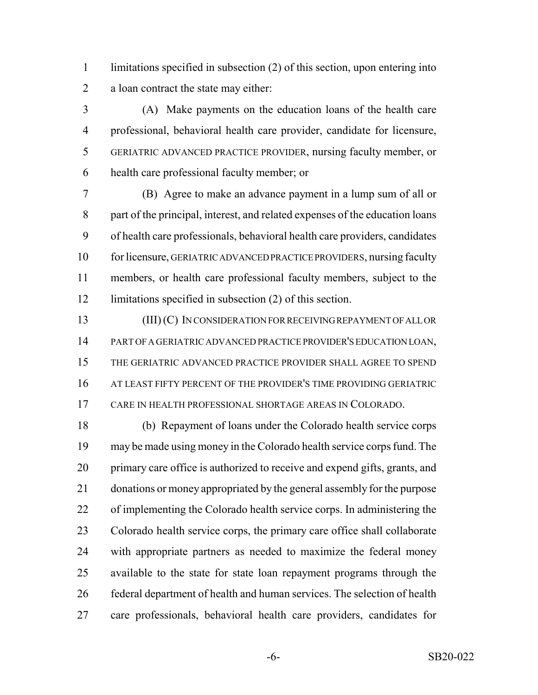limitations specified in subsection (2) of this section, upon entering into a loan contract the state may either:

 (A) Make payments on the education loans of the health care professional, behavioral health care provider, candidate for licensure, GERIATRIC ADVANCED PRACTICE PROVIDER, nursing faculty member, or health care professional faculty member; or

 (B) Agree to make an advance payment in a lump sum of all or part of the principal, interest, and related expenses of the education loans of health care professionals, behavioral health care providers, candidates for licensure, GERIATRIC ADVANCED PRACTICE PROVIDERS, nursing faculty members, or health care professional faculty members, subject to the limitations specified in subsection (2) of this section.

 (III) (C) IN CONSIDERATION FOR RECEIVING REPAYMENT OF ALL OR PART OF A GERIATRIC ADVANCED PRACTICE PROVIDER'S EDUCATION LOAN, THE GERIATRIC ADVANCED PRACTICE PROVIDER SHALL AGREE TO SPEND AT LEAST FIFTY PERCENT OF THE PROVIDER'S TIME PROVIDING GERIATRIC CARE IN HEALTH PROFESSIONAL SHORTAGE AREAS IN COLORADO.

 (b) Repayment of loans under the Colorado health service corps may be made using money in the Colorado health service corps fund. The primary care office is authorized to receive and expend gifts, grants, and donations or money appropriated by the general assembly for the purpose of implementing the Colorado health service corps. In administering the Colorado health service corps, the primary care office shall collaborate with appropriate partners as needed to maximize the federal money available to the state for state loan repayment programs through the federal department of health and human services. The selection of health care professionals, behavioral health care providers, candidates for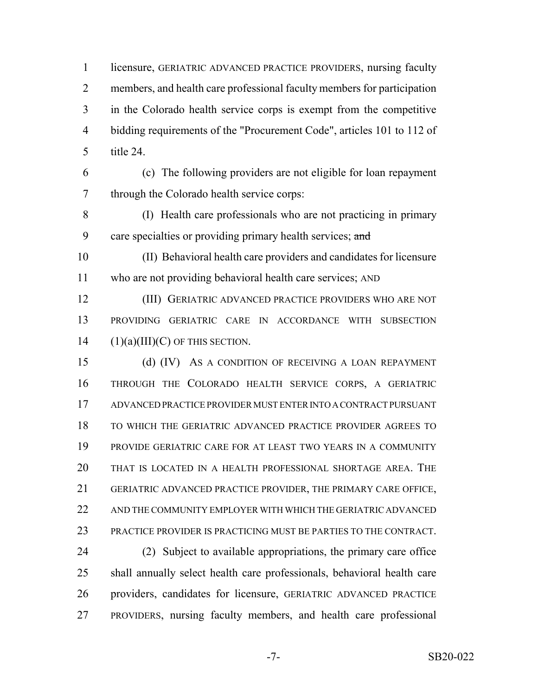licensure, GERIATRIC ADVANCED PRACTICE PROVIDERS, nursing faculty members, and health care professional faculty members for participation in the Colorado health service corps is exempt from the competitive bidding requirements of the "Procurement Code", articles 101 to 112 of title 24.

 (c) The following providers are not eligible for loan repayment through the Colorado health service corps:

 (I) Health care professionals who are not practicing in primary 9 care specialties or providing primary health services; and

 (II) Behavioral health care providers and candidates for licensure who are not providing behavioral health care services; AND

 (III) GERIATRIC ADVANCED PRACTICE PROVIDERS WHO ARE NOT PROVIDING GERIATRIC CARE IN ACCORDANCE WITH SUBSECTION 14  $(1)(a)(III)(C)$  OF THIS SECTION.

 (d) (IV) AS A CONDITION OF RECEIVING A LOAN REPAYMENT THROUGH THE COLORADO HEALTH SERVICE CORPS, A GERIATRIC ADVANCED PRACTICE PROVIDER MUST ENTER INTO A CONTRACT PURSUANT TO WHICH THE GERIATRIC ADVANCED PRACTICE PROVIDER AGREES TO PROVIDE GERIATRIC CARE FOR AT LEAST TWO YEARS IN A COMMUNITY THAT IS LOCATED IN A HEALTH PROFESSIONAL SHORTAGE AREA. THE GERIATRIC ADVANCED PRACTICE PROVIDER, THE PRIMARY CARE OFFICE, AND THE COMMUNITY EMPLOYER WITH WHICH THE GERIATRIC ADVANCED PRACTICE PROVIDER IS PRACTICING MUST BE PARTIES TO THE CONTRACT.

 (2) Subject to available appropriations, the primary care office shall annually select health care professionals, behavioral health care providers, candidates for licensure, GERIATRIC ADVANCED PRACTICE PROVIDERS, nursing faculty members, and health care professional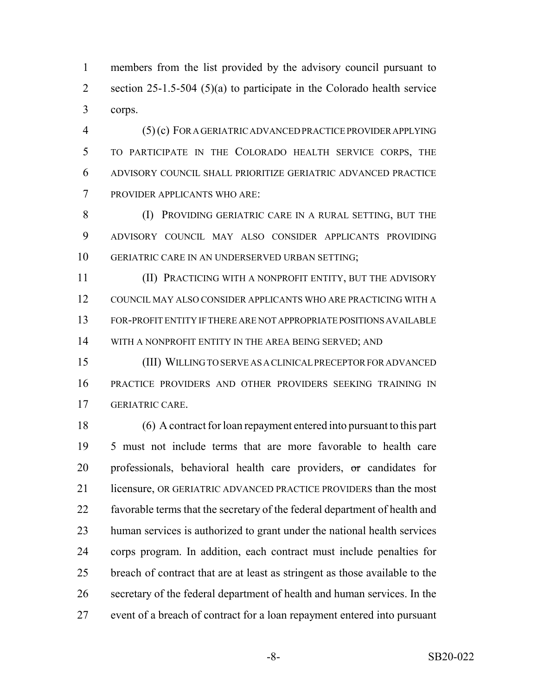members from the list provided by the advisory council pursuant to 2 section 25-1.5-504 (5)(a) to participate in the Colorado health service corps.

 (5) (c) FOR A GERIATRIC ADVANCED PRACTICE PROVIDER APPLYING TO PARTICIPATE IN THE COLORADO HEALTH SERVICE CORPS, THE ADVISORY COUNCIL SHALL PRIORITIZE GERIATRIC ADVANCED PRACTICE PROVIDER APPLICANTS WHO ARE:

8 (I) PROVIDING GERIATRIC CARE IN A RURAL SETTING, BUT THE ADVISORY COUNCIL MAY ALSO CONSIDER APPLICANTS PROVIDING GERIATRIC CARE IN AN UNDERSERVED URBAN SETTING;

 (II) PRACTICING WITH A NONPROFIT ENTITY, BUT THE ADVISORY COUNCIL MAY ALSO CONSIDER APPLICANTS WHO ARE PRACTICING WITH A FOR-PROFIT ENTITY IF THERE ARE NOT APPROPRIATE POSITIONS AVAILABLE 14 WITH A NONPROFIT ENTITY IN THE AREA BEING SERVED; AND

 (III) WILLING TO SERVE AS A CLINICAL PRECEPTOR FOR ADVANCED PRACTICE PROVIDERS AND OTHER PROVIDERS SEEKING TRAINING IN GERIATRIC CARE.

 (6) A contract for loan repayment entered into pursuant to this part 5 must not include terms that are more favorable to health care 20 professionals, behavioral health care providers, or candidates for licensure, OR GERIATRIC ADVANCED PRACTICE PROVIDERS than the most favorable terms that the secretary of the federal department of health and human services is authorized to grant under the national health services corps program. In addition, each contract must include penalties for breach of contract that are at least as stringent as those available to the secretary of the federal department of health and human services. In the event of a breach of contract for a loan repayment entered into pursuant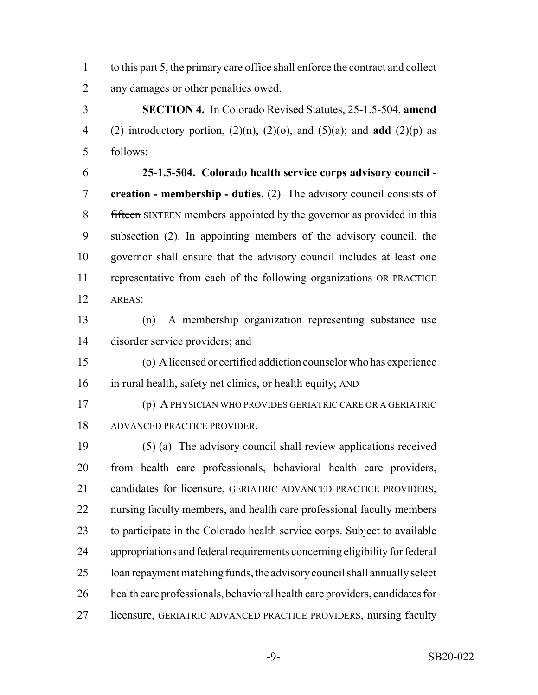to this part 5, the primary care office shall enforce the contract and collect any damages or other penalties owed.

 **SECTION 4.** In Colorado Revised Statutes, 25-1.5-504, **amend** (2) introductory portion, (2)(n), (2)(o), and (5)(a); and **add** (2)(p) as follows:

 **25-1.5-504. Colorado health service corps advisory council - creation - membership - duties.** (2) The advisory council consists of 8 fifteen SIXTEEN members appointed by the governor as provided in this subsection (2). In appointing members of the advisory council, the governor shall ensure that the advisory council includes at least one representative from each of the following organizations OR PRACTICE AREAS:

 (n) A membership organization representing substance use 14 disorder service providers; and

 (o) A licensed or certified addiction counselor who has experience in rural health, safety net clinics, or health equity; AND

 (p) A PHYSICIAN WHO PROVIDES GERIATRIC CARE OR A GERIATRIC ADVANCED PRACTICE PROVIDER.

 (5) (a) The advisory council shall review applications received from health care professionals, behavioral health care providers, candidates for licensure, GERIATRIC ADVANCED PRACTICE PROVIDERS, nursing faculty members, and health care professional faculty members to participate in the Colorado health service corps. Subject to available appropriations and federal requirements concerning eligibility for federal loan repayment matching funds, the advisory council shall annually select health care professionals, behavioral health care providers, candidates for licensure, GERIATRIC ADVANCED PRACTICE PROVIDERS, nursing faculty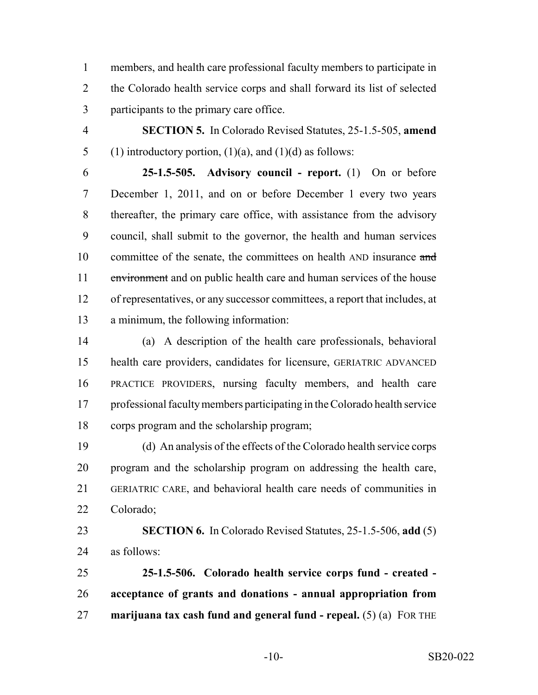members, and health care professional faculty members to participate in the Colorado health service corps and shall forward its list of selected participants to the primary care office.

 **SECTION 5.** In Colorado Revised Statutes, 25-1.5-505, **amend** 5 (1) introductory portion,  $(1)(a)$ , and  $(1)(d)$  as follows:

 **25-1.5-505. Advisory council - report.** (1) On or before December 1, 2011, and on or before December 1 every two years thereafter, the primary care office, with assistance from the advisory council, shall submit to the governor, the health and human services 10 committee of the senate, the committees on health AND insurance and environment and on public health care and human services of the house of representatives, or any successor committees, a report that includes, at a minimum, the following information:

 (a) A description of the health care professionals, behavioral health care providers, candidates for licensure, GERIATRIC ADVANCED PRACTICE PROVIDERS, nursing faculty members, and health care professional faculty members participating in the Colorado health service corps program and the scholarship program;

 (d) An analysis of the effects of the Colorado health service corps program and the scholarship program on addressing the health care, GERIATRIC CARE, and behavioral health care needs of communities in Colorado;

 **SECTION 6.** In Colorado Revised Statutes, 25-1.5-506, **add** (5) as follows:

 **25-1.5-506. Colorado health service corps fund - created - acceptance of grants and donations - annual appropriation from marijuana tax cash fund and general fund - repeal.** (5) (a) FOR THE